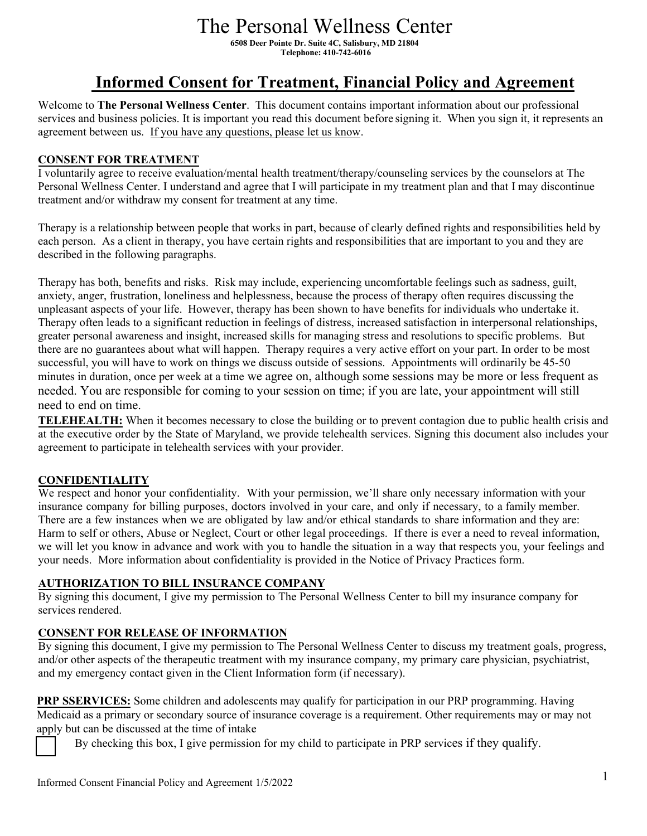# The Personal Wellness Center

**6508 Deer Pointe Dr. Suite 4C, Salisbury, MD 21804 Telephone: 410-742-6016** 

# **Informed Consent for Treatment, Financial Policy and Agreement**

Welcome to **The Personal Wellness Center**. This document contains important information about our professional services and business policies. It is important you read this document before signing it. When you sign it, it represents an agreement between us. If you have any questions, please let us know.

#### **CONSENT FOR TREATMENT**

I voluntarily agree to receive evaluation/mental health treatment/therapy/counseling services by the counselors at The Personal Wellness Center. I understand and agree that I will participate in my treatment plan and that I may discontinue treatment and/or withdraw my consent for treatment at any time.

Therapy is a relationship between people that works in part, because of clearly defined rights and responsibilities held by each person. As a client in therapy, you have certain rights and responsibilities that are important to you and they are described in the following paragraphs.

Therapy has both, benefits and risks. Risk may include, experiencing uncomfortable feelings such as sadness, guilt, anxiety, anger, frustration, loneliness and helplessness, because the process of therapy often requires discussing the unpleasant aspects of your life. However, therapy has been shown to have benefits for individuals who undertake it. Therapy often leads to a significant reduction in feelings of distress, increased satisfaction in interpersonal relationships, greater personal awareness and insight, increased skills for managing stress and resolutions to specific problems. But there are no guarantees about what will happen. Therapy requires a very active effort on your part. In order to be most successful, you will have to work on things we discuss outside of sessions. Appointments will ordinarily be 45-50 minutes in duration, once per week at a time we agree on, although some sessions may be more or less frequent as needed. You are responsible for coming to your session on time; if you are late, your appointment will still need to end on time.

**TELEHEALTH:** When it becomes necessary to close the building or to prevent contagion due to public health crisis and at the executive order by the State of Maryland, we provide telehealth services. Signing this document also includes your agreement to participate in telehealth services with your provider.

## **CONFIDENTIALITY**

We respect and honor your confidentiality. With your permission, we'll share only necessary information with your insurance company for billing purposes, doctors involved in your care, and only if necessary, to a family member. There are a few instances when we are obligated by law and/or ethical standards to share information and they are: Harm to self or others, Abuse or Neglect, Court or other legal proceedings. If there is ever a need to reveal information, we will let you know in advance and work with you to handle the situation in a way that respects you, your feelings and your needs. More information about confidentiality is provided in the Notice of Privacy Practices form.

#### **AUTHORIZATION TO BILL INSURANCE COMPANY**

By signing this document, I give my permission to The Personal Wellness Center to bill my insurance company for services rendered.

## **CONSENT FOR RELEASE OF INFORMATION**

By signing this document, I give my permission to The Personal Wellness Center to discuss my treatment goals, progress, and/or other aspects of the therapeutic treatment with my insurance company, my primary care physician, psychiatrist, and my emergency contact given in the Client Information form (if necessary).

**PRP SSERVICES:** Some children and adolescents may qualify for participation in our PRP programming. Having Medicaid as a primary or secondary source of insurance coverage is a requirement. Other requirements may or may not apply but can be discussed at the time of intake

By checking this box, I give permission for my child to participate in PRP services if they qualify.